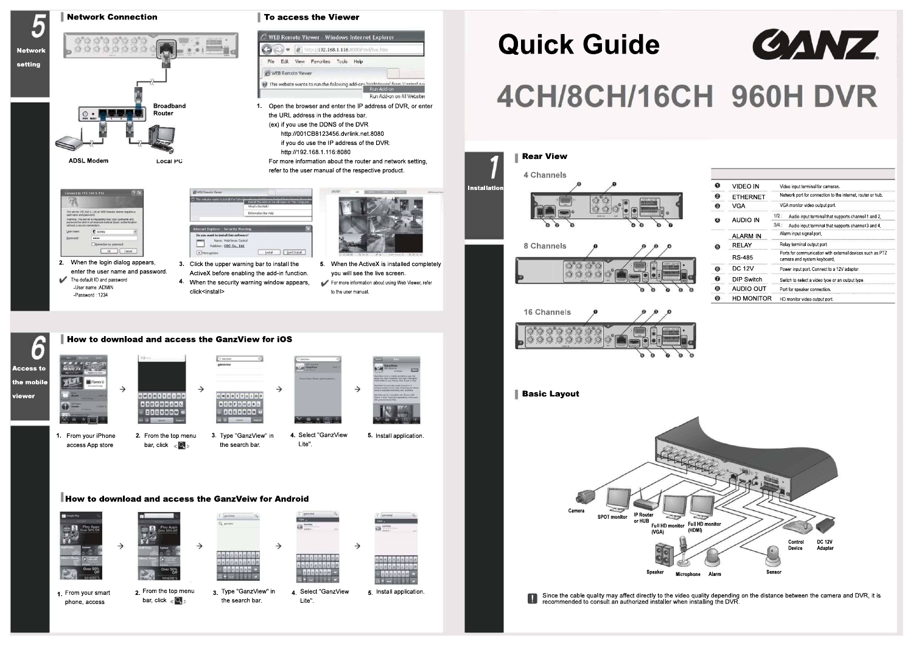

phone, access



bar, click  $\langle \bullet \rangle$ 

1. From your smart 2. From the top menu  $\frac{3}{3}$ . Type "GanzView" in  $\frac{4}{3}$ . Select "GanzView 5. the search bar. 4 Select "GanzView

Lite".

5. Install application



# **4CH/8CH/16CH 960H DVR**

# Quick Guide

| ุก | <b>VIDEO IN</b> | Video input terminal for cameras.                                                        |  |  |
|----|-----------------|------------------------------------------------------------------------------------------|--|--|
| 0  | <b>ETHERNET</b> | Network port for connection to the internet, router or hub.                              |  |  |
| ❸  | <b>VGA</b>      | VGA monitor video output port                                                            |  |  |
| o  | AUDIO IN        | $1/2$ :<br>Audio input terminal that supports channel 1 and 2.                           |  |  |
|    |                 | 3/4<br>Audio input terminal that supports channel 3 and 4.                               |  |  |
| Θ  | ALARM IN        | Alarm input signal port.                                                                 |  |  |
|    | <b>RELAY</b>    | Relay terminal output port                                                               |  |  |
|    | RS 485          | Ports for communication with external devices such as PTZ<br>camera and system keyboard. |  |  |
| ⊕  | DC 12V          | Power input port. Connect to a 12V adaptor.                                              |  |  |
| ⋒  | DIP Switch      | Switch to select a video type or an output type.                                         |  |  |
| 0  | AUDIO OUT       | Port for speaker connection.                                                             |  |  |
| O  | HD MONITOR      | HD monitor video output port.                                                            |  |  |